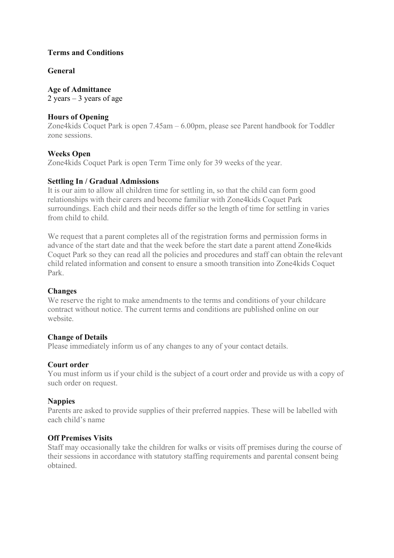## **Terms and Conditions**

## **General**

**Age of Admittance** 2 years  $-3$  years of age

## **Hours of Opening**

Zone4kids Coquet Park is open 7.45am – 6.00pm, please see Parent handbook for Toddler zone sessions.

# **Weeks Open**

Zone4kids Coquet Park is open Term Time only for 39 weeks of the year.

# **Settling In / Gradual Admissions**

It is our aim to allow all children time for settling in, so that the child can form good relationships with their carers and become familiar with Zone4kids Coquet Park surroundings. Each child and their needs differ so the length of time for settling in varies from child to child.

We request that a parent completes all of the registration forms and permission forms in advance of the start date and that the week before the start date a parent attend Zone4kids Coquet Park so they can read all the policies and procedures and staff can obtain the relevant child related information and consent to ensure a smooth transition into Zone4kids Coquet Park.

## **Changes**

We reserve the right to make amendments to the terms and conditions of your childcare contract without notice. The current terms and conditions are published online on our website.

## **Change of Details**

Please immediately inform us of any changes to any of your contact details.

## **Court order**

You must inform us if your child is the subject of a court order and provide us with a copy of such order on request.

## **Nappies**

Parents are asked to provide supplies of their preferred nappies. These will be labelled with each child's name

## **Off Premises Visits**

Staff may occasionally take the children for walks or visits off premises during the course of their sessions in accordance with statutory staffing requirements and parental consent being obtained.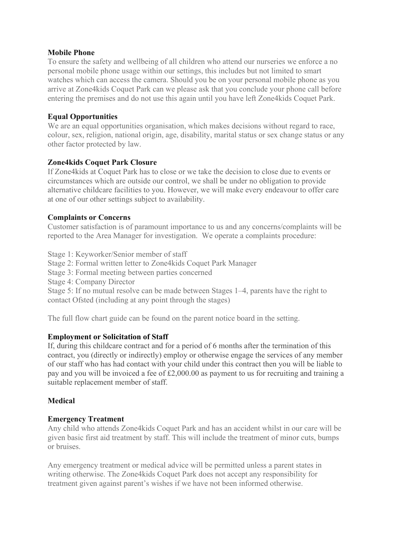#### **Mobile Phone**

To ensure the safety and wellbeing of all children who attend our nurseries we enforce a no personal mobile phone usage within our settings, this includes but not limited to smart watches which can access the camera. Should you be on your personal mobile phone as you arrive at Zone4kids Coquet Park can we please ask that you conclude your phone call before entering the premises and do not use this again until you have left Zone4kids Coquet Park.

## **Equal Opportunities**

We are an equal opportunities organisation, which makes decisions without regard to race, colour, sex, religion, national origin, age, disability, marital status or sex change status or any other factor protected by law.

## **Zone4kids Coquet Park Closure**

If Zone4kids at Coquet Park has to close or we take the decision to close due to events or circumstances which are outside our control, we shall be under no obligation to provide alternative childcare facilities to you. However, we will make every endeavour to offer care at one of our other settings subject to availability.

# **Complaints or Concerns**

Customer satisfaction is of paramount importance to us and any concerns/complaints will be reported to the Area Manager for investigation. We operate a complaints procedure:

Stage 1: Keyworker/Senior member of staff Stage 2: Formal written letter to Zone4kids Coquet Park Manager Stage 3: Formal meeting between parties concerned Stage 4: Company Director Stage 5: If no mutual resolve can be made between Stages 1–4, parents have the right to contact Ofsted (including at any point through the stages)

The full flow chart guide can be found on the parent notice board in the setting.

## **Employment or Solicitation of Staff**

If, during this childcare contract and for a period of 6 months after the termination of this contract, you (directly or indirectly) employ or otherwise engage the services of any member of our staff who has had contact with your child under this contract then you will be liable to pay and you will be invoiced a fee of £2,000.00 as payment to us for recruiting and training a suitable replacement member of staff.

## **Medical**

## **Emergency Treatment**

Any child who attends Zone4kids Coquet Park and has an accident whilst in our care will be given basic first aid treatment by staff. This will include the treatment of minor cuts, bumps or bruises.

Any emergency treatment or medical advice will be permitted unless a parent states in writing otherwise. The Zone4kids Coquet Park does not accept any responsibility for treatment given against parent's wishes if we have not been informed otherwise.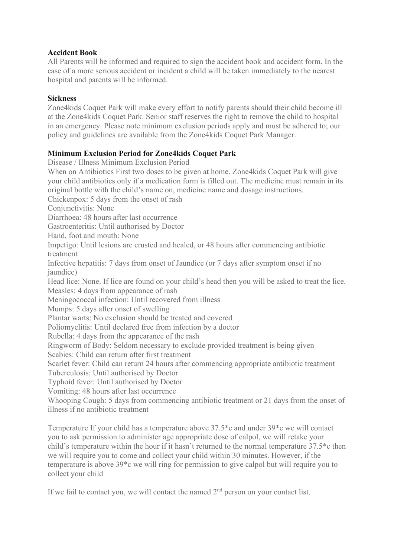## **Accident Book**

All Parents will be informed and required to sign the accident book and accident form. In the case of a more serious accident or incident a child will be taken immediately to the nearest hospital and parents will be informed.

## **Sickness**

Zone4kids Coquet Park will make every effort to notify parents should their child become ill at the Zone4kids Coquet Park. Senior staff reserves the right to remove the child to hospital in an emergency. Please note minimum exclusion periods apply and must be adhered to; our policy and guidelines are available from the Zone4kids Coquet Park Manager.

# **Minimum Exclusion Period for Zone4kids Coquet Park**

Disease / Illness Minimum Exclusion Period When on Antibiotics First two doses to be given at home. Zone4kids Coquet Park will give your child antibiotics only if a medication form is filled out. The medicine must remain in its original bottle with the child's name on, medicine name and dosage instructions. Chickenpox: 5 days from the onset of rash Conjunctivitis: None Diarrhoea: 48 hours after last occurrence Gastroenteritis: Until authorised by Doctor Hand, foot and mouth: None Impetigo: Until lesions are crusted and healed, or 48 hours after commencing antibiotic treatment Infective hepatitis: 7 days from onset of Jaundice (or 7 days after symptom onset if no jaundice) Head lice: None. If lice are found on your child's head then you will be asked to treat the lice. Measles: 4 days from appearance of rash Meningococcal infection: Until recovered from illness Mumps: 5 days after onset of swelling Plantar warts: No exclusion should be treated and covered Poliomyelitis: Until declared free from infection by a doctor Rubella: 4 days from the appearance of the rash Ringworm of Body: Seldom necessary to exclude provided treatment is being given Scabies: Child can return after first treatment Scarlet fever: Child can return 24 hours after commencing appropriate antibiotic treatment Tuberculosis: Until authorised by Doctor Typhoid fever: Until authorised by Doctor Vomiting: 48 hours after last occurrence Whooping Cough: 5 days from commencing antibiotic treatment or 21 days from the onset of illness if no antibiotic treatment

Temperature If your child has a temperature above 37.5\*c and under 39\*c we will contact you to ask permission to administer age appropriate dose of calpol, we will retake your child's temperature within the hour if it hasn't returned to the normal temperature 37.5\*c then we will require you to come and collect your child within 30 minutes. However, if the temperature is above 39\*c we will ring for permission to give calpol but will require you to collect your child

If we fail to contact you, we will contact the named  $2<sup>nd</sup>$  person on your contact list.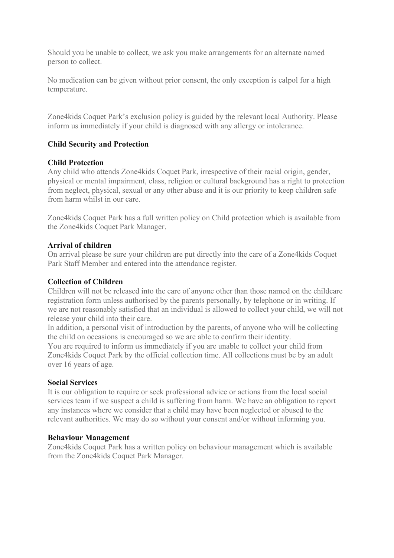Should you be unable to collect, we ask you make arrangements for an alternate named person to collect.

No medication can be given without prior consent, the only exception is calpol for a high temperature.

Zone4kids Coquet Park's exclusion policy is guided by the relevant local Authority. Please inform us immediately if your child is diagnosed with any allergy or intolerance.

# **Child Security and Protection**

#### **Child Protection**

Any child who attends Zone4kids Coquet Park, irrespective of their racial origin, gender, physical or mental impairment, class, religion or cultural background has a right to protection from neglect, physical, sexual or any other abuse and it is our priority to keep children safe from harm whilst in our care.

Zone4kids Coquet Park has a full written policy on Child protection which is available from the Zone4kids Coquet Park Manager.

#### **Arrival of children**

On arrival please be sure your children are put directly into the care of a Zone4kids Coquet Park Staff Member and entered into the attendance register.

#### **Collection of Children**

Children will not be released into the care of anyone other than those named on the childcare registration form unless authorised by the parents personally, by telephone or in writing. If we are not reasonably satisfied that an individual is allowed to collect your child, we will not release your child into their care.

In addition, a personal visit of introduction by the parents, of anyone who will be collecting the child on occasions is encouraged so we are able to confirm their identity.

You are required to inform us immediately if you are unable to collect your child from Zone4kids Coquet Park by the official collection time. All collections must be by an adult over 16 years of age.

#### **Social Services**

It is our obligation to require or seek professional advice or actions from the local social services team if we suspect a child is suffering from harm. We have an obligation to report any instances where we consider that a child may have been neglected or abused to the relevant authorities. We may do so without your consent and/or without informing you.

#### **Behaviour Management**

Zone4kids Coquet Park has a written policy on behaviour management which is available from the Zone4kids Coquet Park Manager.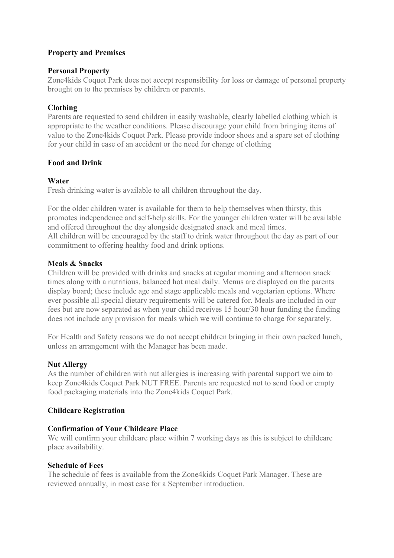# **Property and Premises**

#### **Personal Property**

Zone4kids Coquet Park does not accept responsibility for loss or damage of personal property brought on to the premises by children or parents.

## **Clothing**

Parents are requested to send children in easily washable, clearly labelled clothing which is appropriate to the weather conditions. Please discourage your child from bringing items of value to the Zone4kids Coquet Park. Please provide indoor shoes and a spare set of clothing for your child in case of an accident or the need for change of clothing

## **Food and Drink**

#### **Water**

Fresh drinking water is available to all children throughout the day.

For the older children water is available for them to help themselves when thirsty, this promotes independence and self-help skills. For the younger children water will be available and offered throughout the day alongside designated snack and meal times. All children will be encouraged by the staff to drink water throughout the day as part of our commitment to offering healthy food and drink options.

## **Meals & Snacks**

Children will be provided with drinks and snacks at regular morning and afternoon snack times along with a nutritious, balanced hot meal daily. Menus are displayed on the parents display board; these include age and stage applicable meals and vegetarian options. Where ever possible all special dietary requirements will be catered for. Meals are included in our fees but are now separated as when your child receives 15 hour/30 hour funding the funding does not include any provision for meals which we will continue to charge for separately.

For Health and Safety reasons we do not accept children bringing in their own packed lunch, unless an arrangement with the Manager has been made.

## **Nut Allergy**

As the number of children with nut allergies is increasing with parental support we aim to keep Zone4kids Coquet Park NUT FREE. Parents are requested not to send food or empty food packaging materials into the Zone4kids Coquet Park.

## **Childcare Registration**

## **Confirmation of Your Childcare Place**

We will confirm your childcare place within 7 working days as this is subject to childcare place availability.

#### **Schedule of Fees**

The schedule of fees is available from the Zone4kids Coquet Park Manager. These are reviewed annually, in most case for a September introduction.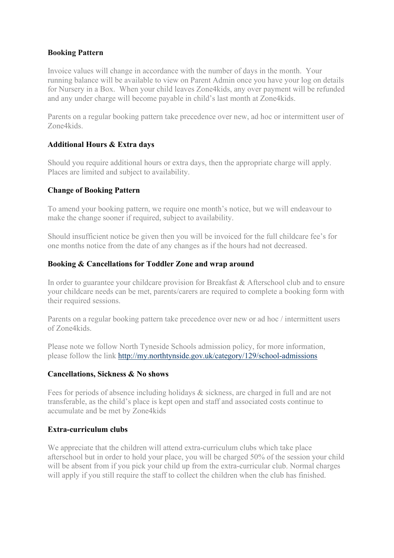#### **Booking Pattern**

Invoice values will change in accordance with the number of days in the month. Your running balance will be available to view on Parent Admin once you have your log on details for Nursery in a Box. When your child leaves Zone4kids, any over payment will be refunded and any under charge will become payable in child's last month at Zone4kids.

Parents on a regular booking pattern take precedence over new, ad hoc or intermittent user of Zone4kids.

## **Additional Hours & Extra days**

Should you require additional hours or extra days, then the appropriate charge will apply. Places are limited and subject to availability.

## **Change of Booking Pattern**

To amend your booking pattern, we require one month's notice, but we will endeavour to make the change sooner if required, subject to availability.

Should insufficient notice be given then you will be invoiced for the full childcare fee's for one months notice from the date of any changes as if the hours had not decreased.

# **Booking & Cancellations for Toddler Zone and wrap around**

In order to guarantee your childcare provision for Breakfast & Afterschool club and to ensure your childcare needs can be met, parents/carers are required to complete a booking form with their required sessions.

Parents on a regular booking pattern take precedence over new or ad hoc / intermittent users of Zone4kids.

Please note we follow North Tyneside Schools admission policy, for more information, please follow the link<http://my.northtynside.gov.uk/category/129/school-admissions>

## **Cancellations, Sickness & No shows**

Fees for periods of absence including holidays & sickness, are charged in full and are not transferable, as the child's place is kept open and staff and associated costs continue to accumulate and be met by Zone4kids

## **Extra-curriculum clubs**

We appreciate that the children will attend extra-curriculum clubs which take place afterschool but in order to hold your place, you will be charged 50% of the session your child will be absent from if you pick your child up from the extra-curricular club. Normal charges will apply if you still require the staff to collect the children when the club has finished.